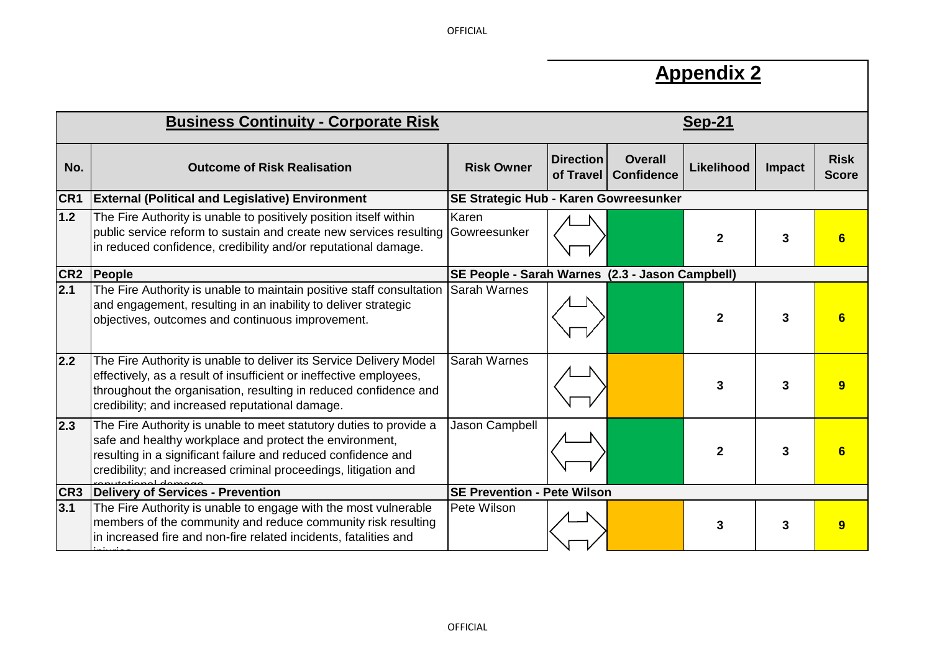**OFFICIAL** 

## **Appendix 2**

|                  | <b>Business Continuity - Corporate Risk</b>                                                                                                                                                                                                                       | $Sep-21$                                        |                  |                                          |                |               |                             |
|------------------|-------------------------------------------------------------------------------------------------------------------------------------------------------------------------------------------------------------------------------------------------------------------|-------------------------------------------------|------------------|------------------------------------------|----------------|---------------|-----------------------------|
| No.              | <b>Outcome of Risk Realisation</b>                                                                                                                                                                                                                                | <b>Risk Owner</b>                               | <b>Direction</b> | <b>Overall</b><br>of Travel   Confidence | Likelihood     | <b>Impact</b> | <b>Risk</b><br><b>Score</b> |
| CR1              | <b>External (Political and Legislative) Environment</b>                                                                                                                                                                                                           | SE Strategic Hub - Karen Gowreesunker           |                  |                                          |                |               |                             |
| 1.2              | The Fire Authority is unable to positively position itself within<br>public service reform to sustain and create new services resulting Gowreesunker<br>in reduced confidence, credibility and/or reputational damage.                                            | Karen                                           |                  |                                          | $\mathbf{2}$   | 3             |                             |
| CR <sub>2</sub>  | People                                                                                                                                                                                                                                                            | SE People - Sarah Warnes (2.3 - Jason Campbell) |                  |                                          |                |               |                             |
| $\overline{2.1}$ | The Fire Authority is unable to maintain positive staff consultation<br>and engagement, resulting in an inability to deliver strategic<br>objectives, outcomes and continuous improvement.                                                                        | <b>S</b> arah Warnes                            |                  |                                          | $\mathbf{2}$   | 3             |                             |
| 2.2              | The Fire Authority is unable to deliver its Service Delivery Model<br>effectively, as a result of insufficient or ineffective employees,<br>throughout the organisation, resulting in reduced confidence and<br>credibility; and increased reputational damage.   | <b>S</b> arah Warnes                            |                  |                                          | 3              | 3             |                             |
| $\overline{2.3}$ | The Fire Authority is unable to meet statutory duties to provide a<br>safe and healthy workplace and protect the environment,<br>resulting in a significant failure and reduced confidence and<br>credibility; and increased criminal proceedings, litigation and | Jason Campbell                                  |                  |                                          | $\overline{2}$ | 3             |                             |
| CR3              | <b>Delivery of Services - Prevention</b>                                                                                                                                                                                                                          | <b>ISE Prevention - Pete Wilson</b>             |                  |                                          |                |               |                             |
| 3.1              | The Fire Authority is unable to engage with the most vulnerable<br>members of the community and reduce community risk resulting<br>in increased fire and non-fire related incidents, fatalities and                                                               | Pete Wilson                                     |                  |                                          | 3              | 3             | 9                           |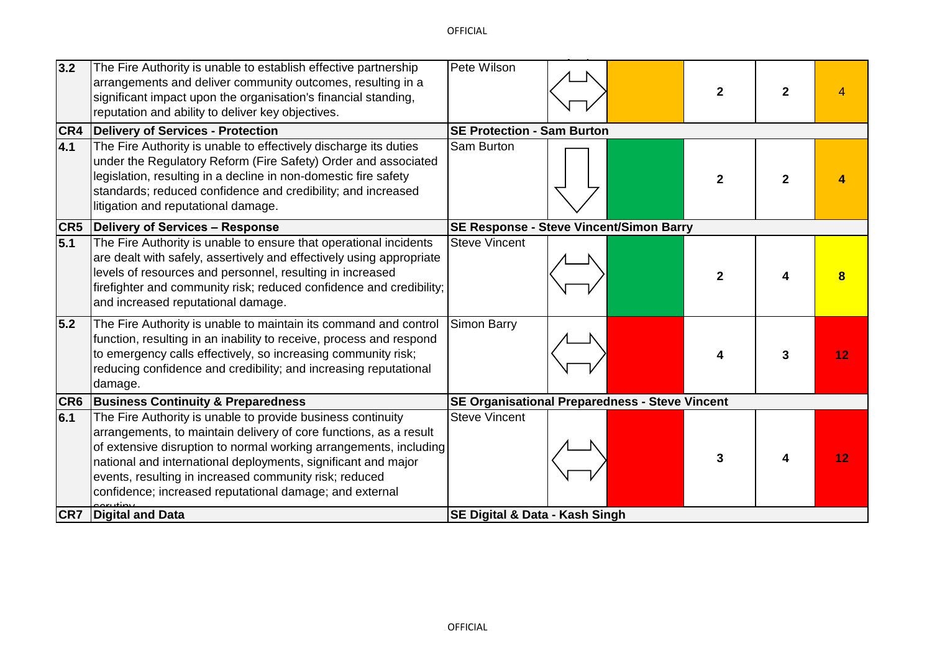| 3.2 | The Fire Authority is unable to establish effective partnership<br>arrangements and deliver community outcomes, resulting in a<br>significant impact upon the organisation's financial standing,<br>reputation and ability to deliver key objectives.                                                                                                                                       | Pete Wilson                                    |                                                       | $\overline{2}$ | $\mathbf{2}$ |    |
|-----|---------------------------------------------------------------------------------------------------------------------------------------------------------------------------------------------------------------------------------------------------------------------------------------------------------------------------------------------------------------------------------------------|------------------------------------------------|-------------------------------------------------------|----------------|--------------|----|
|     | <b>CR4</b> Delivery of Services - Protection                                                                                                                                                                                                                                                                                                                                                | <b>SE Protection - Sam Burton</b>              |                                                       |                |              |    |
| 4.1 | The Fire Authority is unable to effectively discharge its duties<br>under the Regulatory Reform (Fire Safety) Order and associated<br>legislation, resulting in a decline in non-domestic fire safety<br>standards; reduced confidence and credibility; and increased<br>litigation and reputational damage.                                                                                | <b>Sam Burton</b>                              |                                                       | $\mathbf{2}$   | $\mathbf{2}$ |    |
|     | <b>CR5</b> Delivery of Services - Response                                                                                                                                                                                                                                                                                                                                                  | <b>SE Response - Steve Vincent/Simon Barry</b> |                                                       |                |              |    |
| 5.1 | The Fire Authority is unable to ensure that operational incidents<br>are dealt with safely, assertively and effectively using appropriate<br>levels of resources and personnel, resulting in increased<br>firefighter and community risk; reduced confidence and credibility;<br>and increased reputational damage.                                                                         | <b>Steve Vincent</b>                           |                                                       | 2              |              |    |
| 5.2 | The Fire Authority is unable to maintain its command and control<br>function, resulting in an inability to receive, process and respond<br>to emergency calls effectively, so increasing community risk;<br>reducing confidence and credibility; and increasing reputational<br>damage.                                                                                                     | Simon Barry                                    |                                                       |                | 3            | 12 |
|     | <b>CR6 Business Continuity &amp; Preparedness</b>                                                                                                                                                                                                                                                                                                                                           |                                                | <b>SE Organisational Preparedness - Steve Vincent</b> |                |              |    |
| 6.1 | The Fire Authority is unable to provide business continuity<br>arrangements, to maintain delivery of core functions, as a result<br>of extensive disruption to normal working arrangements, including<br>national and international deployments, significant and major<br>events, resulting in increased community risk; reduced<br>confidence; increased reputational damage; and external | <b>Steve Vincent</b>                           |                                                       | 3              | 4            | 12 |
|     | <b>CR7</b> Digital and Data                                                                                                                                                                                                                                                                                                                                                                 | <b>SE Digital &amp; Data - Kash Singh</b>      |                                                       |                |              |    |